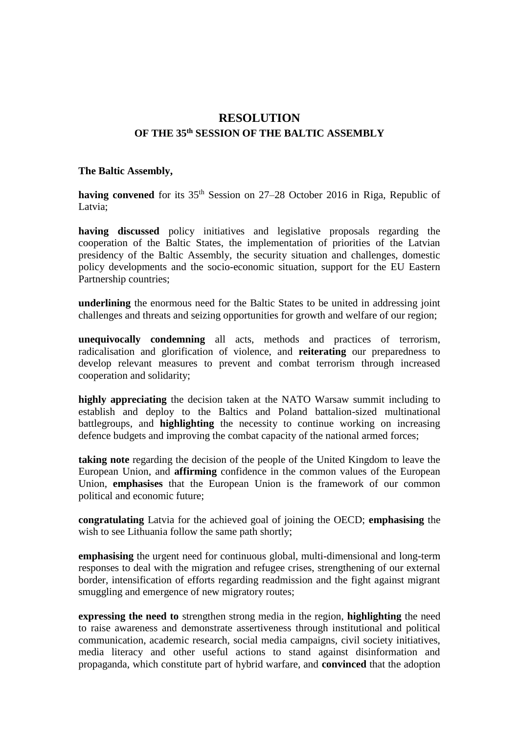# **RESOLUTION OF THE 35th SESSION OF THE BALTIC ASSEMBLY**

#### **The Baltic Assembly,**

having convened for its 35<sup>th</sup> Session on 27–28 October 2016 in Riga, Republic of Latvia:

**having discussed** policy initiatives and legislative proposals regarding the cooperation of the Baltic States, the implementation of priorities of the Latvian presidency of the Baltic Assembly, the security situation and challenges, domestic policy developments and the socio-economic situation, support for the EU Eastern Partnership countries;

**underlining** the enormous need for the Baltic States to be united in addressing joint challenges and threats and seizing opportunities for growth and welfare of our region;

**unequivocally condemning** all acts, methods and practices of terrorism, radicalisation and glorification of violence, and **reiterating** our preparedness to develop relevant measures to prevent and combat terrorism through increased cooperation and solidarity;

**highly appreciating** the decision taken at the NATO Warsaw summit including to establish and deploy to the Baltics and Poland battalion-sized multinational battlegroups, and **highlighting** the necessity to continue working on increasing defence budgets and improving the combat capacity of the national armed forces;

**taking note** regarding the decision of the people of the United Kingdom to leave the European Union, and **affirming** confidence in the common values of the European Union, **emphasises** that the European Union is the framework of our common political and economic future;

**congratulating** Latvia for the achieved goal of joining the OECD; **emphasising** the wish to see Lithuania follow the same path shortly;

**emphasising** the urgent need for continuous global, multi-dimensional and long-term responses to deal with the migration and refugee crises, strengthening of our external border, intensification of efforts regarding readmission and the fight against migrant smuggling and emergence of new migratory routes;

**expressing the need to** strengthen strong media in the region, **highlighting** the need to raise awareness and demonstrate assertiveness through institutional and political communication, academic research, social media campaigns, civil society initiatives, media literacy and other useful actions to stand against disinformation and propaganda, which constitute part of hybrid warfare, and **convinced** that the adoption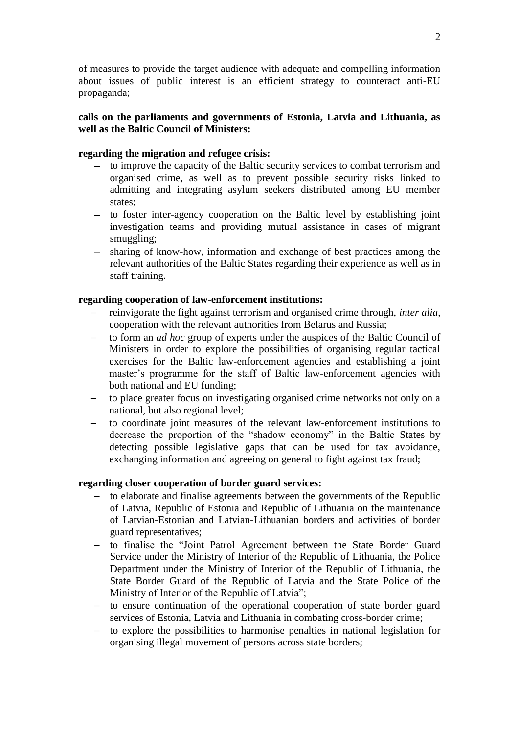of measures to provide the target audience with adequate and compelling information about issues of public interest is an efficient strategy to counteract anti-EU propaganda;

# **calls on the parliaments and governments of Estonia, Latvia and Lithuania, as well as the Baltic Council of Ministers:**

## **regarding the migration and refugee crisis:**

- to improve the capacity of the Baltic security services to combat terrorism and organised crime, as well as to prevent possible security risks linked to admitting and integrating asylum seekers distributed among EU member states;
- to foster inter-agency cooperation on the Baltic level by establishing joint investigation teams and providing mutual assistance in cases of migrant smuggling;
- sharing of know-how, information and exchange of best practices among the relevant authorities of the Baltic States regarding their experience as well as in staff training.

## **regarding cooperation of law-enforcement institutions:**

- reinvigorate the fight against terrorism and organised crime through, *inter alia,* cooperation with the relevant authorities from Belarus and Russia;
- to form an *ad hoc* group of experts under the auspices of the Baltic Council of Ministers in order to explore the possibilities of organising regular tactical exercises for the Baltic law-enforcement agencies and establishing a joint master's programme for the staff of Baltic law-enforcement agencies with both national and EU funding;
- to place greater focus on investigating organised crime networks not only on a national, but also regional level;
- to coordinate joint measures of the relevant law-enforcement institutions to decrease the proportion of the "shadow economy" in the Baltic States by detecting possible legislative gaps that can be used for tax avoidance, exchanging information and agreeing on general to fight against tax fraud;

## **regarding closer cooperation of border guard services:**

- to elaborate and finalise agreements between the governments of the Republic of Latvia, Republic of Estonia and Republic of Lithuania on the maintenance of Latvian-Estonian and Latvian-Lithuanian borders and activities of border guard representatives;
- to finalise the "Joint Patrol Agreement between the State Border Guard Service under the Ministry of Interior of the Republic of Lithuania, the Police Department under the Ministry of Interior of the Republic of Lithuania, the State Border Guard of the Republic of Latvia and the State Police of the Ministry of Interior of the Republic of Latvia";
- to ensure continuation of the operational cooperation of state border guard services of Estonia, Latvia and Lithuania in combating cross-border crime;
- to explore the possibilities to harmonise penalties in national legislation for organising illegal movement of persons across state borders;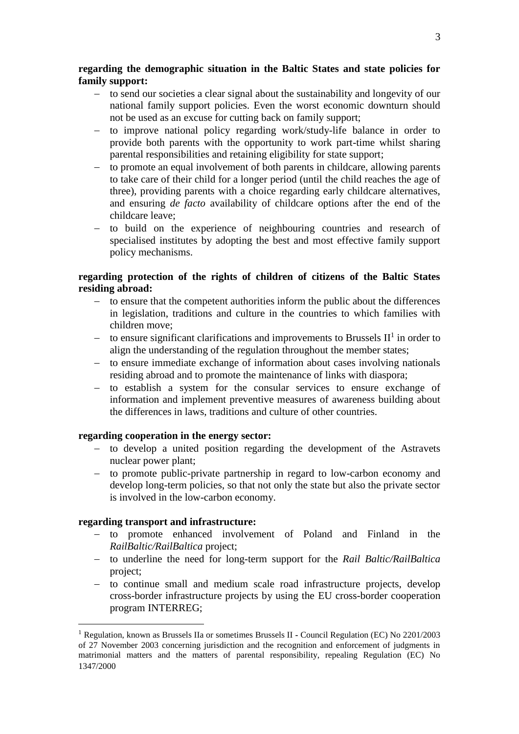## **regarding the demographic situation in the Baltic States and state policies for family support:**

- to send our societies a clear signal about the sustainability and longevity of our national family support policies. Even the worst economic downturn should not be used as an excuse for cutting back on family support;
- to improve national policy regarding work/study-life balance in order to provide both parents with the opportunity to work part-time whilst sharing parental responsibilities and retaining eligibility for state support;
- to promote an equal involvement of both parents in childcare, allowing parents to take care of their child for a longer period (until the child reaches the age of three), providing parents with a choice regarding early childcare alternatives, and ensuring *de facto* availability of childcare options after the end of the childcare leave;
- to build on the experience of neighbouring countries and research of specialised institutes by adopting the best and most effective family support policy mechanisms.

## **regarding protection of the rights of children of citizens of the Baltic States residing abroad:**

- to ensure that the competent authorities inform the public about the differences in legislation, traditions and culture in the countries to which families with children move;
- $-$  to ensure significant clarifications and improvements to Brussels  $II<sup>1</sup>$  in order to align the understanding of the regulation throughout the member states;
- to ensure immediate exchange of information about cases involving nationals residing abroad and to promote the maintenance of links with diaspora;
- to establish a system for the consular services to ensure exchange of information and implement preventive measures of awareness building about the differences in laws, traditions and culture of other countries.

## **regarding cooperation in the energy sector:**

- to develop a united position regarding the development of the Astravets nuclear power plant;
- to promote public-private partnership in regard to low-carbon economy and develop long-term policies, so that not only the state but also the private sector is involved in the low-carbon economy.

## **regarding transport and infrastructure:**

1

- to promote enhanced involvement of Poland and Finland in the *RailBaltic/RailBaltica* project;
- to underline the need for long-term support for the *Rail Baltic/RailBaltica* project;
- to continue small and medium scale road infrastructure projects, develop cross-border infrastructure projects by using the EU cross-border cooperation program INTERREG;

<sup>1</sup> Regulation, known as Brussels IIa or sometimes Brussels II **-** Council Regulation (EC) No 2201/2003 of 27 November 2003 concerning jurisdiction and the recognition and enforcement of judgments in matrimonial matters and the matters of parental responsibility, repealing Regulation (EC) No 1347/2000